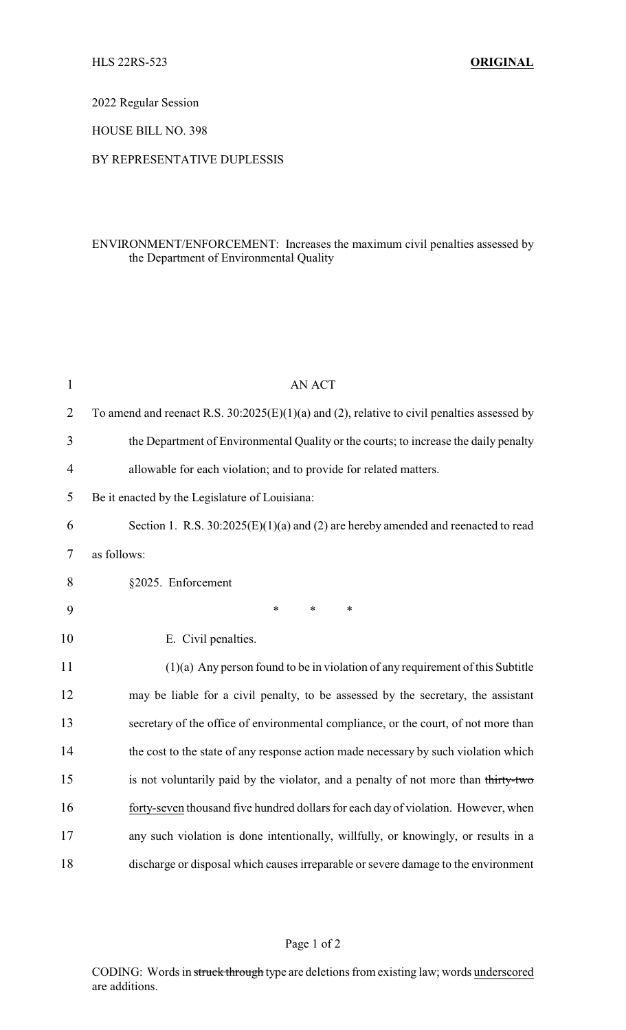2022 Regular Session

HOUSE BILL NO. 398

## BY REPRESENTATIVE DUPLESSIS

## ENVIRONMENT/ENFORCEMENT: Increases the maximum civil penalties assessed by the Department of Environmental Quality

| $\mathbf{1}$   | AN ACT                                                                                        |
|----------------|-----------------------------------------------------------------------------------------------|
| $\overline{2}$ | To amend and reenact R.S. $30:2025(E)(1)(a)$ and (2), relative to civil penalties assessed by |
| 3              | the Department of Environmental Quality or the courts; to increase the daily penalty          |
| 4              | allowable for each violation; and to provide for related matters.                             |
| 5              | Be it enacted by the Legislature of Louisiana:                                                |
| 6              | Section 1. R.S. $30:2025(E)(1)(a)$ and (2) are hereby amended and reenacted to read           |
| 7              | as follows:                                                                                   |
| 8              | §2025. Enforcement                                                                            |
| 9              | $\ast$<br>$\ast$<br>$\ast$                                                                    |
| 10             | E. Civil penalties.                                                                           |
| 11             | $(1)(a)$ Any person found to be in violation of any requirement of this Subtitle              |
| 12             | may be liable for a civil penalty, to be assessed by the secretary, the assistant             |
| 13             | secretary of the office of environmental compliance, or the court, of not more than           |
| 14             | the cost to the state of any response action made necessary by such violation which           |
| 15             | is not voluntarily paid by the violator, and a penalty of not more than thirty-two            |
| 16             | forty-seven thousand five hundred dollars for each day of violation. However, when            |
| 17             | any such violation is done intentionally, willfully, or knowingly, or results in a            |
| 18             | discharge or disposal which causes irreparable or severe damage to the environment            |